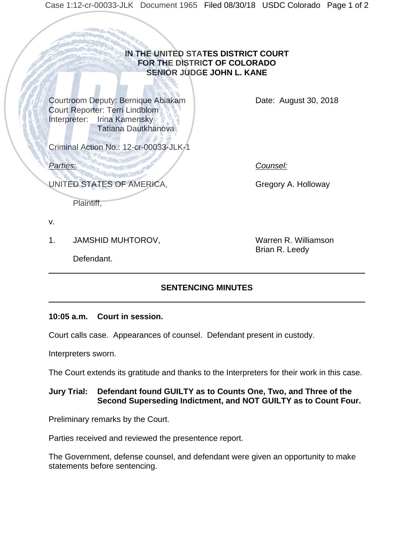# **IN THE UNITED STATES DISTRICT COURT FOR THE DISTRICT OF COLORADO SENIOR JUDGE JOHN L. KANE**

Courtroom Deputy: Bernique Abiakam Court Reporter: Terri Lindblom Interpreter: Irina Kamensky Tatiana Dautkhanova

Date: August 30, 2018

Criminal Action No.: 12-cr-00033-JLK-1

*Parties: Counsel:*

UNITED STATES OF AMERICA,

Gregory A. Holloway

Plaintiff,

v.

1. JAMSHID MUHTOROV,

Warren R. Williamson Brian R. Leedy

Defendant.

# **SENTENCING MINUTES**

# **10:05 a.m. Court in session.**

Court calls case. Appearances of counsel. Defendant present in custody.

Interpreters sworn.

The Court extends its gratitude and thanks to the Interpreters for their work in this case.

# **Jury Trial: Defendant found GUILTY as to Counts One, Two, and Three of the Second Superseding Indictment, and NOT GUILTY as to Count Four.**

Preliminary remarks by the Court.

Parties received and reviewed the presentence report.

The Government, defense counsel, and defendant were given an opportunity to make statements before sentencing.